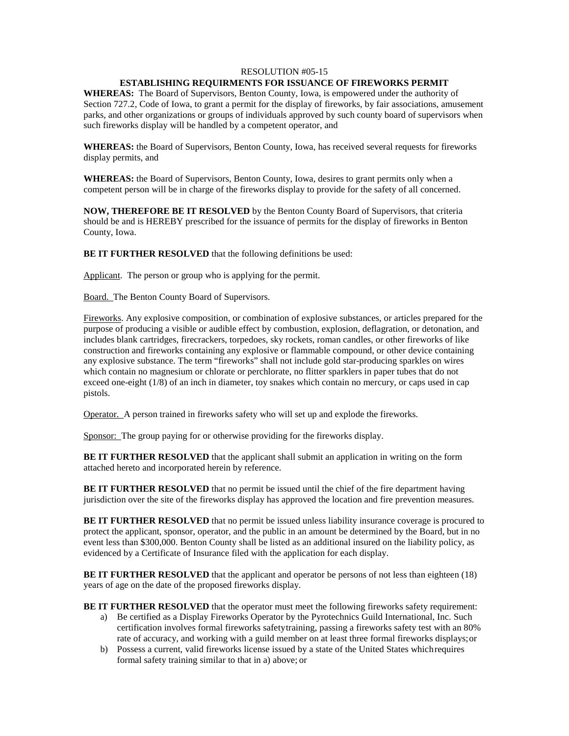### RESOLUTION #05-15

# **ESTABLISHING REQUIRMENTS FOR ISSUANCE OF FIREWORKS PERMIT**

**WHEREAS:** The Board of Supervisors, Benton County, Iowa, is empowered under the authority of Section 727.2, Code of Iowa, to grant a permit for the display of fireworks, by fair associations, amusement parks, and other organizations or groups of individuals approved by such county board of supervisors when such fireworks display will be handled by a competent operator, and

**WHEREAS:** the Board of Supervisors, Benton County, Iowa, has received several requests for fireworks display permits, and

**WHEREAS:** the Board of Supervisors, Benton County, Iowa, desires to grant permits only when a competent person will be in charge of the fireworks display to provide for the safety of all concerned.

**NOW, THEREFORE BE IT RESOLVED** by the Benton County Board of Supervisors, that criteria should be and is HEREBY prescribed for the issuance of permits for the display of fireworks in Benton County, Iowa.

**BE IT FURTHER RESOLVED** that the following definitions be used:

Applicant. The person or group who is applying for the permit.

Board. The Benton County Board of Supervisors.

Fireworks. Any explosive composition, or combination of explosive substances, or articles prepared for the purpose of producing a visible or audible effect by combustion, explosion, deflagration, or detonation, and includes blank cartridges, firecrackers, torpedoes, sky rockets, roman candles, or other fireworks of like construction and fireworks containing any explosive or flammable compound, or other device containing any explosive substance. The term "fireworks" shall not include gold star-producing sparkles on wires which contain no magnesium or chlorate or perchlorate, no flitter sparklers in paper tubes that do not exceed one-eight (1/8) of an inch in diameter, toy snakes which contain no mercury, or caps used in cap pistols.

Operator. A person trained in fireworks safety who will set up and explode the fireworks.

Sponsor: The group paying for or otherwise providing for the fireworks display.

**BE IT FURTHER RESOLVED** that the applicant shall submit an application in writing on the form attached hereto and incorporated herein by reference.

**BE IT FURTHER RESOLVED** that no permit be issued until the chief of the fire department having jurisdiction over the site of the fireworks display has approved the location and fire prevention measures.

**BE IT FURTHER RESOLVED** that no permit be issued unless liability insurance coverage is procured to protect the applicant, sponsor, operator, and the public in an amount be determined by the Board, but in no event less than \$300,000. Benton County shall be listed as an additional insured on the liability policy, as evidenced by a Certificate of Insurance filed with the application for each display.

**BE IT FURTHER RESOLVED** that the applicant and operator be persons of not less than eighteen (18) years of age on the date of the proposed fireworks display.

**BE IT FURTHER RESOLVED** that the operator must meet the following fireworks safety requirement:

- a) Be certified as a Display Fireworks Operator by the Pyrotechnics Guild International, Inc. Such certification involves formal fireworks safetytraining, passing a fireworks safety test with an 80% rate of accuracy, and working with a guild member on at least three formal fireworks displays;or
- b) Possess a current, valid fireworks license issued by a state of the United States whichrequires formal safety training similar to that in a) above; or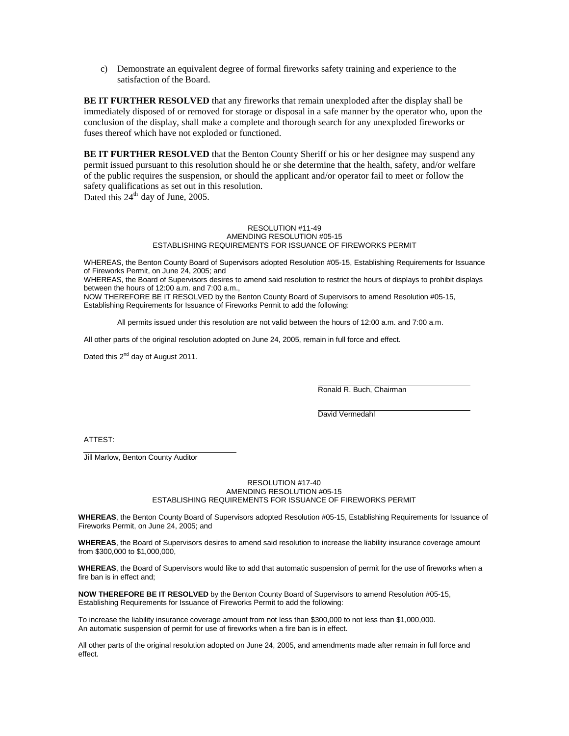c) Demonstrate an equivalent degree of formal fireworks safety training and experience to the satisfaction of the Board.

**BE IT FURTHER RESOLVED** that any fireworks that remain unexploded after the display shall be immediately disposed of or removed for storage or disposal in a safe manner by the operator who, upon the conclusion of the display, shall make a complete and thorough search for any unexploded fireworks or fuses thereof which have not exploded or functioned.

**BE IT FURTHER RESOLVED** that the Benton County Sheriff or his or her designee may suspend any permit issued pursuant to this resolution should he or she determine that the health, safety, and/or welfare of the public requires the suspension, or should the applicant and/or operator fail to meet or follow the safety qualifications as set out in this resolution. Dated this  $24<sup>th</sup>$  day of June, 2005.

### RESOLUTION #11-49 AMENDING RESOLUTION #05-15 ESTABLISHING REQUIREMENTS FOR ISSUANCE OF FIREWORKS PERMIT

WHEREAS, the Benton County Board of Supervisors adopted Resolution #05-15, Establishing Requirements for Issuance of Fireworks Permit, on June 24, 2005; and

WHEREAS, the Board of Supervisors desires to amend said resolution to restrict the hours of displays to prohibit displays between the hours of 12:00 a.m. and 7:00 a.m.,

NOW THEREFORE BE IT RESOLVED by the Benton County Board of Supervisors to amend Resolution #05-15, Establishing Requirements for Issuance of Fireworks Permit to add the following:

All permits issued under this resolution are not valid between the hours of 12:00 a.m. and 7:00 a.m.

All other parts of the original resolution adopted on June 24, 2005, remain in full force and effect.

Dated this  $2^{nd}$  day of August 2011.

Ronald R. Buch, Chairman

David Vermedahl

ATTEST:

Jill Marlow, Benton County Auditor

#### RESOLUTION #17-40 AMENDING RESOLUTION #05-15 ESTABLISHING REQUIREMENTS FOR ISSUANCE OF FIREWORKS PERMIT

**WHEREAS**, the Benton County Board of Supervisors adopted Resolution #05-15, Establishing Requirements for Issuance of Fireworks Permit, on June 24, 2005; and

**WHEREAS**, the Board of Supervisors desires to amend said resolution to increase the liability insurance coverage amount from \$300,000 to \$1,000,000,

**WHEREAS**, the Board of Supervisors would like to add that automatic suspension of permit for the use of fireworks when a fire ban is in effect and;

**NOW THEREFORE BE IT RESOLVED** by the Benton County Board of Supervisors to amend Resolution #05-15, Establishing Requirements for Issuance of Fireworks Permit to add the following:

To increase the liability insurance coverage amount from not less than \$300,000 to not less than \$1,000,000. An automatic suspension of permit for use of fireworks when a fire ban is in effect.

All other parts of the original resolution adopted on June 24, 2005, and amendments made after remain in full force and effect.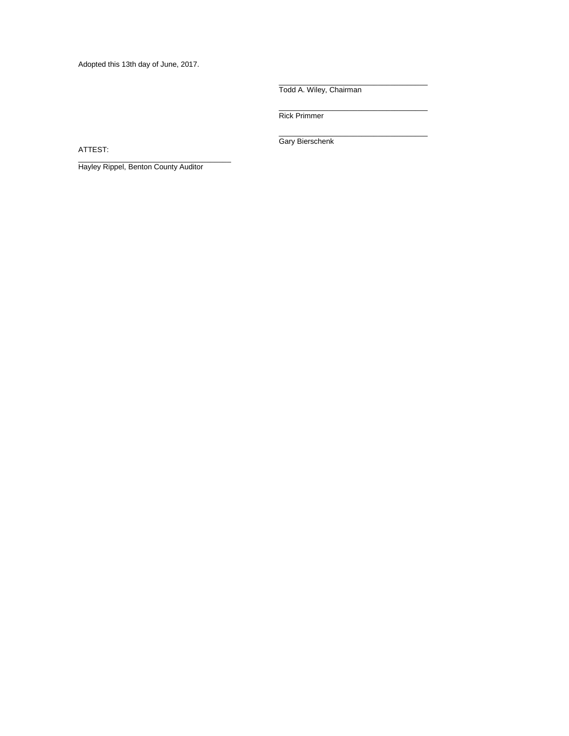Adopted this 13th day of June, 2017.

Todd A. Wiley, Chairman

\_\_\_\_\_\_\_\_\_\_\_\_\_\_\_\_\_\_\_\_\_\_\_\_\_\_\_\_\_\_\_\_\_\_\_\_

\_\_\_\_\_\_\_\_\_\_\_\_\_\_\_\_\_\_\_\_\_\_\_\_\_\_\_\_\_\_\_\_\_\_\_\_ Rick Primmer

\_\_\_\_\_\_\_\_\_\_\_\_\_\_\_\_\_\_\_\_\_\_\_\_\_\_\_\_\_\_\_\_\_\_\_\_ Gary Bierschenk

ATTEST:

Hayley Rippel, Benton County Auditor

\_\_\_\_\_\_\_\_\_\_\_\_\_\_\_\_\_\_\_\_\_\_\_\_\_\_\_\_\_\_\_\_\_\_\_\_\_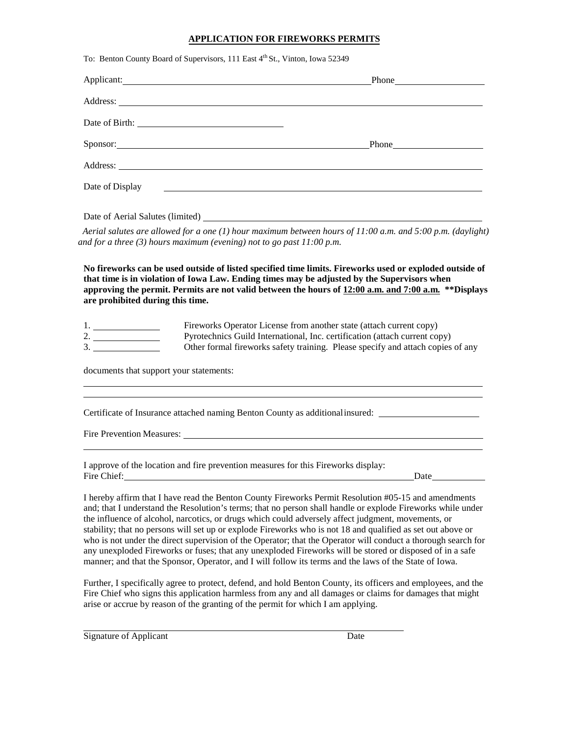# **APPLICATION FOR FIREWORKS PERMITS**

|                                         | To: Benton County Board of Supervisors, 111 East 4th St., Vinton, Iowa 52349                                                                                                                                                                                                                                                                                                                                                                                                                                                                              |  |
|-----------------------------------------|-----------------------------------------------------------------------------------------------------------------------------------------------------------------------------------------------------------------------------------------------------------------------------------------------------------------------------------------------------------------------------------------------------------------------------------------------------------------------------------------------------------------------------------------------------------|--|
|                                         | Phone https://www.facebook.com/                                                                                                                                                                                                                                                                                                                                                                                                                                                                                                                           |  |
|                                         | Address: No. 2014 19:30: Address: No. 2014 19:30: 20:30: 20:30: 20:30: 20:30: 20:30: 20:30: 20:30: 20:30: 20:30: 20:30: 20:30: 20:30: 20:30: 20:30: 20:30: 20:30: 20:30: 20:30: 20:30: 20:30: 20:30: 20:30: 20:30: 20:30: 20:3                                                                                                                                                                                                                                                                                                                            |  |
|                                         |                                                                                                                                                                                                                                                                                                                                                                                                                                                                                                                                                           |  |
|                                         | Sponsor: Sponsor:                                                                                                                                                                                                                                                                                                                                                                                                                                                                                                                                         |  |
|                                         | Address: Note that the contract of the contract of the contract of the contract of the contract of the contract of the contract of the contract of the contract of the contract of the contract of the contract of the contrac                                                                                                                                                                                                                                                                                                                            |  |
| Date of Display                         |                                                                                                                                                                                                                                                                                                                                                                                                                                                                                                                                                           |  |
|                                         | Date of Aerial Salutes (limited)                                                                                                                                                                                                                                                                                                                                                                                                                                                                                                                          |  |
|                                         | Aerial salutes are allowed for a one (1) hour maximum between hours of 11:00 a.m. and 5:00 p.m. (daylight)<br>and for a three $(3)$ hours maximum (evening) not to go past $11:00$ p.m.                                                                                                                                                                                                                                                                                                                                                                   |  |
| are prohibited during this time.<br>1.  | that time is in violation of Iowa Law. Ending times may be adjusted by the Supervisors when<br>approving the permit. Permits are not valid between the hours of 12:00 a.m. and 7:00 a.m. ** Displays<br>Fireworks Operator License from another state (attach current copy)<br>Pyrotechnics Guild International, Inc. certification (attach current copy)<br>Other formal fireworks safety training. Please specify and attach copies of any                                                                                                              |  |
| documents that support your statements: |                                                                                                                                                                                                                                                                                                                                                                                                                                                                                                                                                           |  |
|                                         | Certificate of Insurance attached naming Benton County as additional insured: _____________________<br>Fire Prevention Measures:                                                                                                                                                                                                                                                                                                                                                                                                                          |  |
| Fire Chief:                             | I approve of the location and fire prevention measures for this Fireworks display:<br>Date                                                                                                                                                                                                                                                                                                                                                                                                                                                                |  |
|                                         | I hereby affirm that I have read the Benton County Fireworks Permit Resolution #05-15 and amendments<br>and; that I understand the Resolution's terms; that no person shall handle or explode Fireworks while under<br>the influence of alcohol, narcotics, or drugs which could adversely affect judgment, movements, or<br>stability; that no persons will set up or explode Fireworks who is not 18 and qualified as set out above or<br>who is not under the direct supervision of the Operator; that the Operator will conduct a thorough search for |  |

who is not under the direct supervision of the Operator; that the Operator will conduct a thorough search for any unexploded Fireworks or fuses; that any unexploded Fireworks will be stored or disposed of in a safe manner; and that the Sponsor, Operator, and I will follow its terms and the laws of the State of Iowa.

Further, I specifically agree to protect, defend, and hold Benton County, its officers and employees, and the Fire Chief who signs this application harmless from any and all damages or claims for damages that might arise or accrue by reason of the granting of the permit for which I am applying.

Signature of Applicant Date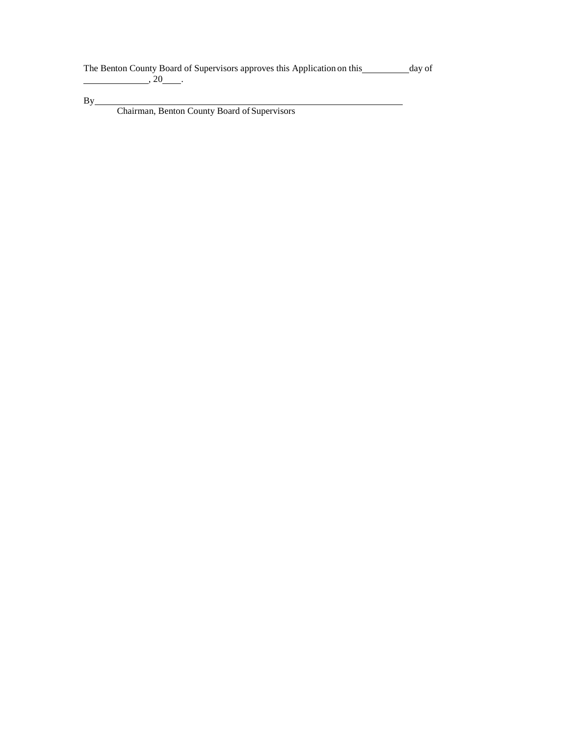The Benton County Board of Supervisors approves this Application on this \_\_\_\_\_\_\_\_ day of  $, 20$   $.$ 

By

Chairman, Benton County Board of Supervisors